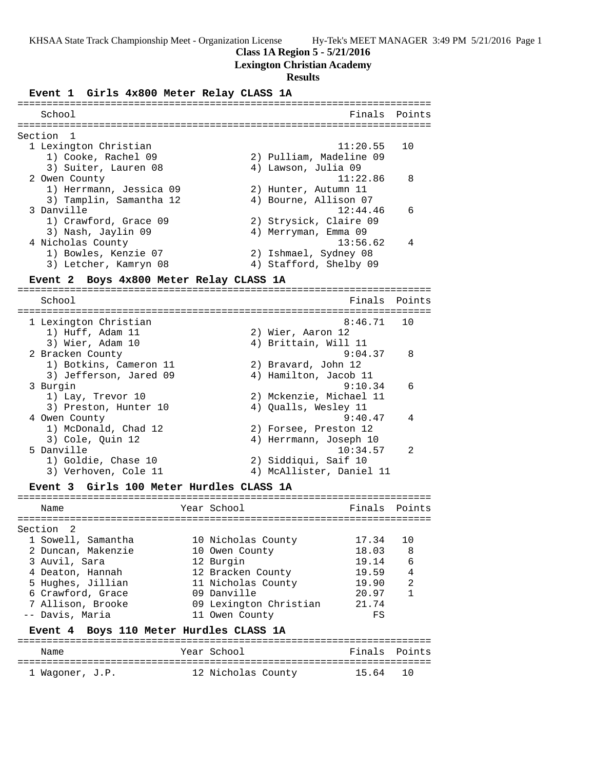**Class 1A Region 5 - 5/21/2016**

## **Lexington Christian Academy**

### **Results**

**Event 1 Girls 4x800 Meter Relay CLASS 1A**

| School                                   | Finals                          | Points |
|------------------------------------------|---------------------------------|--------|
|                                          |                                 |        |
|                                          |                                 |        |
| Section 1                                |                                 |        |
| 1 Lexington Christian                    | 11:20.55                        | 10     |
| 1) Cooke, Rachel 09                      | 2) Pulliam, Madeline 09         |        |
| 3) Suiter, Lauren 08                     | 4) Lawson, Julia 09             |        |
| 2 Owen County                            | 11:22.86                        | 8      |
| 1) Herrmann, Jessica 09                  | 2) Hunter, Autumn 11            |        |
| 3) Tamplin, Samantha 12                  | 4) Bourne, Allison 07           |        |
| 3 Danville                               | 12:44.46                        | 6      |
| 1) Crawford, Grace 09                    | 2) Strysick, Claire 09          |        |
|                                          |                                 |        |
| 3) Nash, Jaylin 09                       | 4) Merryman, Emma 09            |        |
| 4 Nicholas County                        | 13:56.62                        | 4      |
| 1) Bowles, Kenzie 07                     | 2) Ishmael, Sydney 08           |        |
| 3) Letcher, Kamryn 08                    | 4) Stafford, Shelby 09          |        |
| Event 2                                  | Boys 4x800 Meter Relay CLASS 1A |        |
|                                          |                                 |        |
| School                                   | Finals                          | Points |
|                                          |                                 |        |
| 1 Lexington Christian                    | 8:46.71                         | 10     |
| 1) Huff, Adam 11                         | 2) Wier, Aaron 12               |        |
| 3) Wier, Adam 10                         | 4) Brittain, Will 11            |        |
| 2 Bracken County                         | 9:04.37                         | 8      |
| 1) Botkins, Cameron 11                   |                                 |        |
|                                          | 2) Bravard, John 12             |        |
| 3) Jefferson, Jared 09                   | 4) Hamilton, Jacob 11           |        |
| 3 Burgin                                 | 9:10.34                         | 6      |
| 1) Lay, Trevor 10                        | 2) Mckenzie, Michael 11         |        |
| 3) Preston, Hunter 10                    | 4) Qualls, Wesley 11            |        |
| 4 Owen County                            | 9:40.47                         | 4      |
| 1) McDonald, Chad 12                     | 2) Forsee, Preston 12           |        |
| 3) Cole, Quin 12                         | 4) Herrmann, Joseph 10          |        |
| 5 Danville                               | 10:34.57                        | 2      |
| 1) Goldie, Chase 10                      | 2) Siddiqui, Saif 10            |        |
|                                          |                                 |        |
| 3) Verhoven, Cole 11                     | 4) McAllister, Daniel 11        |        |
| Event 3 Girls 100 Meter Hurdles CLASS 1A |                                 |        |
|                                          |                                 |        |
| Name                                     | Year School<br>Finals           | Points |
|                                          |                                 |        |
| Section<br>2                             |                                 |        |
| 1 Sowell, Samantha                       | 17.34<br>10 Nicholas County     | 10     |
| 2 Duncan, Makenzie                       | 18.03<br>10 Owen County         | 8      |
| 3 Auvil, Sara                            | 12 Burgin<br>19.14              | 6      |
| 4 Deaton, Hannah                         | 12 Bracken County<br>19.59      | 4      |
| 5 Hughes, Jillian                        | 19.90<br>11 Nicholas County     | 2      |
| 6 Crawford, Grace                        | 09 Danville<br>20.97            | 1      |
| 7 Allison, Brooke                        | 09 Lexington Christian<br>21.74 |        |
|                                          |                                 |        |
| -- Davis, Maria                          | 11 Owen County<br>FS            |        |
| Event 4                                  | Boys 110 Meter Hurdles CLASS 1A |        |
|                                          |                                 |        |
| Name                                     | Year School<br>Finals           | Points |
|                                          |                                 |        |
| 1 Wagoner, J.P.                          | 12 Nicholas County<br>15.64     | 10     |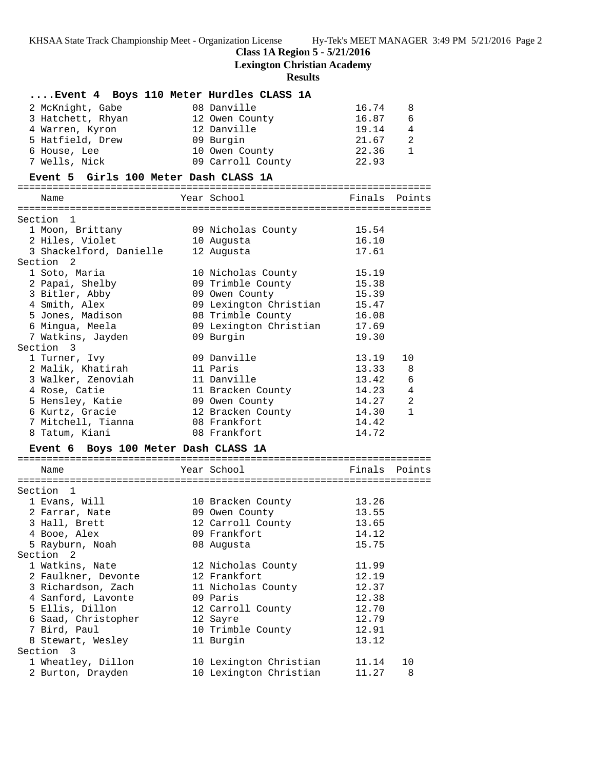**Class 1A Region 5 - 5/21/2016**

**Lexington Christian Academy**

| Event 4 Boys 110 Meter Hurdles CLASS 1A |                               |                                    |
|-----------------------------------------|-------------------------------|------------------------------------|
|                                         |                               |                                    |
| 2 McKnight, Gabe                        | 08 Danville                   | 16.74<br>8                         |
| 3 Hatchett, Rhyan                       | 12 Owen County                | 16.87 6                            |
| 4 Warren, Kyron                         | 12 Danville                   | 19.14 4<br>$\overline{2}$<br>21.67 |
| 5 Hatfield, Drew                        | 09 Burgin                     |                                    |
| 6 House, Lee                            | 10 Owen County                | 22.36<br>$\mathbf{1}$              |
| 7 Wells, Nick                           | 09 Carroll County             | 22.93                              |
| Event 5 Girls 100 Meter Dash CLASS 1A   |                               |                                    |
|                                         |                               |                                    |
| Name                                    | Year School                   | Finals Points                      |
| Section 1                               |                               |                                    |
| 1 Moon, Brittany                        | 09 Nicholas County            | 15.54                              |
| 2 Hiles, Violet                         | 10 Augusta                    | 16.10                              |
| 3 Shackelford, Danielle                 | 12 Augusta                    | 17.61                              |
| Section 2                               |                               |                                    |
| 1 Soto, Maria                           | 10 Nicholas County            | 15.19                              |
| 2 Papai, Shelby                         | 09 Trimble County             | 15.38                              |
| 3 Bitler, Abby                          | 09 Owen County                | 15.39                              |
| 4 Smith, Alex                           | 09 Lexington Christian        | 15.47                              |
| 5 Jones, Madison                        | 08 Trimble County             | 16.08                              |
| 6 Mingua, Meela                         | 09 Lexington Christian        | 17.69                              |
| 7 Watkins, Jayden                       | 09 Burgin                     | 19.30                              |
| Section 3                               |                               |                                    |
| 1 Turner, Ivy                           | 09 Danville                   | 13.19<br>10                        |
| 2 Malik, Khatirah                       | 11 Paris                      | 13.33<br>-8                        |
| 3 Walker, Zenoviah                      | 11 Danville                   | 13.42<br>6                         |
| 4 Rose, Catie                           | 11 Bracken County             | $14.23$ 4                          |
| 5 Hensley, Katie                        | 09 Owen County                | 2<br>14.27                         |
| 6 Kurtz, Gracie                         | 12 Bracken County             | 14.30<br>1                         |
| 7 Mitchell, Tianna                      | 08 Frankfort                  | 14.42                              |
| 8 Tatum, Kiani                          | 08 Frankfort                  | 14.72                              |
| Event 6 Boys 100 Meter Dash CLASS 1A    |                               |                                    |
|                                         |                               |                                    |
| Name                                    | Year School                   | Finals Points                      |
|                                         |                               |                                    |
| Section 1                               |                               |                                    |
| 1 Evans, Will                           | 10 Bracken County             | 13.26                              |
| 2 Farrar, Nate                          | 09 Owen County                | 13.55                              |
| 3 Hall, Brett                           | 12 Carroll County             | 13.65                              |
| 4 Booe, Alex                            | 09 Frankfort                  | 14.12                              |
| 5 Rayburn, Noah                         | 08 Augusta                    | 15.75                              |
| Section 2                               |                               |                                    |
| 1 Watkins, Nate                         | 12 Nicholas County            | 11.99                              |
| 2 Faulkner, Devonte                     | 12 Frankfort                  | 12.19                              |
| 3 Richardson, Zach                      | 11 Nicholas County            | 12.37                              |
| 4 Sanford, Lavonte                      | 09 Paris                      | 12.38                              |
| 5 Ellis, Dillon                         | 12 Carroll County             | 12.70                              |
| 6 Saad, Christopher                     | 12 Sayre<br>10 Trimble County | 12.79                              |
| 7 Bird, Paul<br>8 Stewart, Wesley       | 11 Burgin                     | 12.91<br>13.12                     |
| Section 3                               |                               |                                    |
| 1 Wheatley, Dillon                      | 10 Lexington Christian        | 11.14<br>10                        |
| 2 Burton, Drayden                       | 10 Lexington Christian        | 11.27<br>8                         |
|                                         |                               |                                    |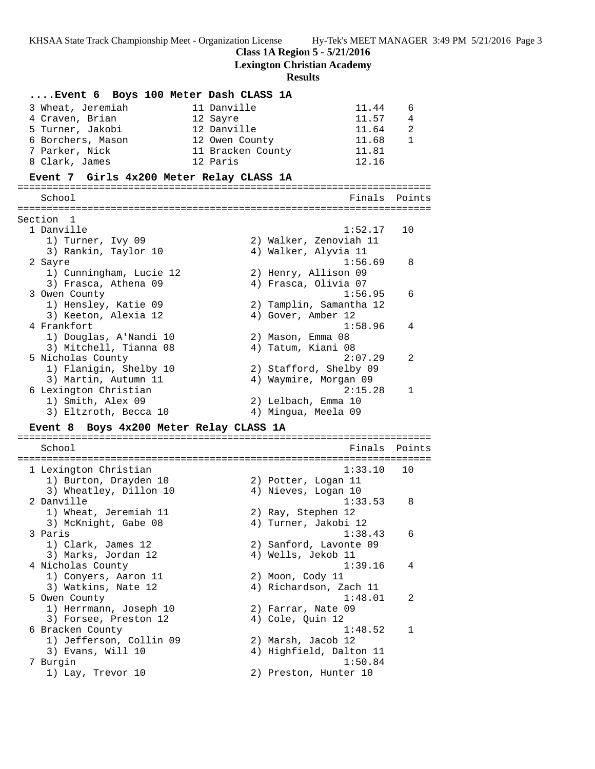**Class 1A Region 5 - 5/21/2016**

**Lexington Christian Academy**

| Event 6 Boys 100 Meter Dash CLASS 1A              |                   |                  |                         |        |
|---------------------------------------------------|-------------------|------------------|-------------------------|--------|
| 3 Wheat, Jeremiah                                 | 11 Danville       |                  | 11.44                   | 6      |
| 4 Craven, Brian<br>12 Sayre                       |                   |                  | 11.57                   | 4      |
| 5 Turner, Jakobi                                  | 12 Danville       |                  | 11.64                   | 2      |
| 6 Borchers, Mason                                 | 12 Owen County    |                  | 11.68                   | 1      |
| 7 Parker, Nick                                    | 11 Bracken County |                  | 11.81                   |        |
| 8 Clark, James<br>12 Paris                        |                   |                  | 12.16                   |        |
| Event 7 Girls 4x200 Meter Relay CLASS 1A          |                   |                  |                         |        |
|                                                   |                   |                  |                         |        |
| School                                            |                   |                  | Finals                  | Points |
| Section 1                                         |                   |                  |                         |        |
| 1 Danville                                        |                   |                  | 1:52.17                 | 10     |
| 1) Turner, Ivy 09                                 |                   |                  | 2) Walker, Zenoviah 11  |        |
| 3) Rankin, Taylor 10                              |                   |                  | 4) Walker, Alyvia 11    |        |
| 2 Sayre                                           |                   |                  | 1:56.69                 | 8      |
| 1) Cunningham, Lucie 12                           |                   |                  | 2) Henry, Allison 09    |        |
| 3) Frasca, Athena 09                              |                   |                  | 4) Frasca, Olivia 07    |        |
| 3 Owen County                                     |                   |                  | 1:56.95                 | 6      |
| 1) Hensley, Katie 09                              |                   |                  | 2) Tamplin, Samantha 12 |        |
| 3) Keeton, Alexia 12                              |                   |                  | 4) Gover, Amber 12      |        |
| 4 Frankfort                                       |                   |                  | 1:58.96                 | 4      |
| 1) Douglas, A'Nandi 10                            |                   |                  | 2) Mason, Emma 08       |        |
| 3) Mitchell, Tianna 08                            |                   |                  | 4) Tatum, Kiani 08      |        |
| 5 Nicholas County                                 |                   |                  | 2:07.29                 | 2      |
| 1) Flanigin, Shelby 10                            |                   |                  | 2) Stafford, Shelby 09  |        |
| 3) Martin, Autumn 11                              |                   |                  | 4) Waymire, Morgan 09   |        |
| 6 Lexington Christian                             |                   |                  | 2:15.28                 | 1      |
| 1) Smith, Alex 09                                 |                   |                  | 2) Lelbach, Emma 10     |        |
| 3) Eltzroth, Becca 10                             |                   |                  | 4) Mingua, Meela 09     |        |
| Boys 4x200 Meter Relay CLASS 1A<br><b>Event 8</b> |                   |                  |                         |        |
|                                                   |                   |                  |                         |        |
| School                                            |                   |                  | Finals                  | Points |
| 1 Lexington Christian                             |                   |                  | 1:33.10                 | 10     |
| 1) Burton, Drayden 10                             |                   |                  | 2) Potter, Logan 11     |        |
| 3) Wheatley, Dillon 10                            |                   |                  | 4) Nieves, Logan 10     |        |
| 2 Danville                                        |                   |                  | 1:33.53                 | 8      |
| 1) Wheat, Jeremiah 11                             |                   |                  | 2) Ray, Stephen 12      |        |
| 3) McKnight, Gabe 08                              |                   |                  | 4) Turner, Jakobi 12    |        |
| 3 Paris                                           |                   |                  | 1:38.43                 | 6      |
| 1) Clark, James 12                                |                   |                  | 2) Sanford, Lavonte 09  |        |
| 3) Marks, Jordan 12                               |                   |                  | 4) Wells, Jekob 11      |        |
| 4 Nicholas County                                 |                   |                  | 1:39.16                 | 4      |
| 1) Conyers, Aaron 11                              |                   |                  | 2) Moon, Cody 11        |        |
| 3) Watkins, Nate 12                               |                   |                  | 4) Richardson, Zach 11  |        |
| 5 Owen County                                     |                   |                  | 1:48.01                 | 2      |
| 1) Herrmann, Joseph 10                            |                   |                  | 2) Farrar, Nate 09      |        |
| 3) Forsee, Preston 12                             |                   | 4) Cole, Quin 12 |                         |        |
| 6 Bracken County                                  |                   |                  | 1:48.52                 | 1      |
| 1) Jefferson, Collin 09                           |                   |                  | 2) Marsh, Jacob 12      |        |
| 3) Evans, Will 10                                 |                   |                  | 4) Highfield, Dalton 11 |        |
| 7 Burgin                                          |                   |                  | 1:50.84                 |        |
| 1) Lay, Trevor 10                                 |                   |                  | 2) Preston, Hunter 10   |        |
|                                                   |                   |                  |                         |        |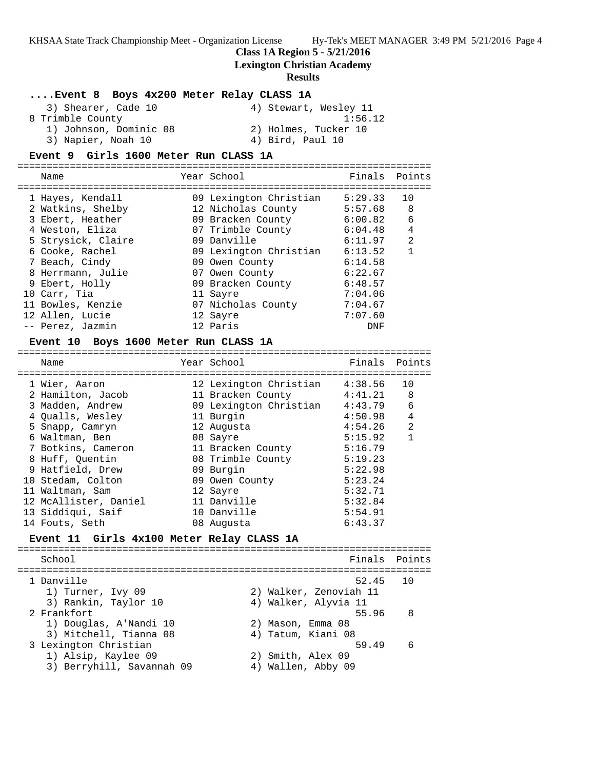**Class 1A Region 5 - 5/21/2016**

**Lexington Christian Academy**

#### **Results**

### **....Event 8 Boys 4x200 Meter Relay CLASS 1A**

| 3) Shearer, Cade 10    | 4) Stewart, Wesley 11 |
|------------------------|-----------------------|
| 8 Trimble County       | 1:56.12               |
| 1) Johnson, Dominic 08 | 2) Holmes, Tucker 10  |
| 3) Napier, Noah 10     | 4) Bird, Paul 10      |

### **Event 9 Girls 1600 Meter Run CLASS 1A**

=======================================================================

| Name               | Year School            | Finals Points |    |
|--------------------|------------------------|---------------|----|
| 1 Hayes, Kendall   | 09 Lexington Christian | 5:29.33       | 10 |
| 2 Watkins, Shelby  | 12 Nicholas County     | 5:57.68       | 8  |
| 3 Ebert, Heather   | 09 Bracken County      | 6:00.82       | 6  |
| 4 Weston, Eliza    | 07 Trimble County      | 6:04.48       | 4  |
| 5 Strysick, Claire | 09 Danville            | 6:11.97       | 2  |
| 6 Cooke, Rachel    | 09 Lexington Christian | 6:13.52       | 1  |
| 7 Beach, Cindy     | 09 Owen County         | 6:14.58       |    |
| 8 Herrmann, Julie  | 07 Owen County         | 6:22.67       |    |
| 9 Ebert, Holly     | 09 Bracken County      | 6:48.57       |    |
| 10 Carr, Tia       | 11 Sayre               | 7:04.06       |    |
| 11 Bowles, Kenzie  | 07 Nicholas County     | 7:04.67       |    |
| 12 Allen, Lucie    | 12 Sayre               | 7:07.60       |    |
| -- Perez, Jazmin   | 12 Paris               | DNF           |    |

#### **Event 10 Boys 1600 Meter Run CLASS 1A**

| Name                  | Year School            | Finals  | Points         |
|-----------------------|------------------------|---------|----------------|
| 1 Wier, Aaron         | 12 Lexington Christian | 4:38.56 | 10             |
| 2 Hamilton, Jacob     | 11 Bracken County      | 4:41.21 | 8              |
| 3 Madden, Andrew      | 09 Lexington Christian | 4:43.79 | 6              |
| 4 Oualls, Wesley      | 11 Burgin              | 4:50.98 | $\overline{4}$ |
| 5 Snapp, Camryn       | 12 Augusta             | 4:54.26 | 2              |
| 6 Waltman, Ben        | 08 Sayre               | 5:15.92 | $\mathbf{1}$   |
| 7 Botkins, Cameron    | 11 Bracken County      | 5:16.79 |                |
| 8 Huff, Ouentin       | 08 Trimble County      | 5:19.23 |                |
| 9 Hatfield, Drew      | 09 Burgin              | 5:22.98 |                |
| 10 Stedam, Colton     | 09 Owen County         | 5:23.24 |                |
| 11 Waltman, Sam       | 12 Sayre               | 5:32.71 |                |
| 12 McAllister, Daniel | 11 Danville            | 5:32.84 |                |
| 13 Siddigui, Saif     | 10 Danville            | 5:54.91 |                |
| 14 Fouts, Seth        | 08 Augusta             | 6:43.37 |                |

=======================================================================

### **Event 11 Girls 4x100 Meter Relay CLASS 1A**

======================================================================= School **Finals** Points ======================================================================= 1 Danville 52.45 10 1) Turner, Ivy 09 2) Walker, Zenoviah 11 3) Rankin, Taylor 10 4) Walker, Alyvia 11 2 Frankfort 55.96 8 1) Douglas, A'Nandi 10 2) Mason, Emma 08 3) Mitchell, Tianna 08  $\hspace{1cm}$  4) Tatum, Kiani 08 3 Lexington Christian 59.49 6 1) Alsip, Kaylee 09 2) Smith, Alex 09 3) Berryhill, Savannah 09  $\hskip1cm 4$ ) Wallen, Abby 09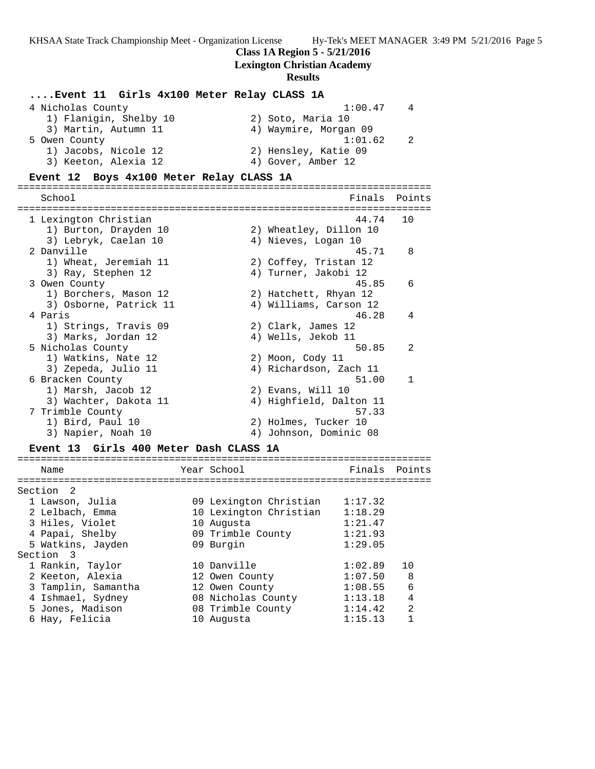**Class 1A Region 5 - 5/21/2016**

## **Lexington Christian Academy**

| Event 11 Girls 4x100 Meter Relay CLASS 1A   |                        |                    |                         |         |                |
|---------------------------------------------|------------------------|--------------------|-------------------------|---------|----------------|
| 4 Nicholas County                           |                        |                    |                         | 1:00.47 | 4              |
| 1) Flanigin, Shelby 10                      |                        |                    | 2) Soto, Maria 10       |         |                |
| 3) Martin, Autumn 11                        |                        |                    | 4) Waymire, Morgan 09   |         |                |
| 5 Owen County                               |                        |                    |                         | 1:01.62 | 2              |
| 1) Jacobs, Nicole 12                        |                        |                    |                         |         |                |
|                                             |                        |                    | 2) Hensley, Katie 09    |         |                |
| 3) Keeton, Alexia 12                        |                        |                    | 4) Gover, Amber 12      |         |                |
| Boys 4x100 Meter Relay CLASS 1A<br>Event 12 |                        |                    |                         |         |                |
|                                             |                        |                    |                         |         |                |
| School                                      |                        |                    |                         | Finals  | Points         |
|                                             |                        |                    |                         |         |                |
| 1 Lexington Christian                       |                        |                    |                         | 44.74   | 10             |
| 1) Burton, Drayden 10                       |                        |                    | 2) Wheatley, Dillon 10  |         |                |
| 3) Lebryk, Caelan 10                        |                        |                    | 4) Nieves, Logan 10     |         |                |
| 2 Danville                                  |                        |                    |                         | 45.71   | 8              |
| 1) Wheat, Jeremiah 11                       |                        |                    | 2) Coffey, Tristan 12   |         |                |
| 3) Ray, Stephen 12                          |                        |                    | 4) Turner, Jakobi 12    |         |                |
| 3 Owen County                               |                        |                    |                         | 45.85   | 6              |
| 1) Borchers, Mason 12                       |                        |                    | 2) Hatchett, Rhyan 12   |         |                |
|                                             |                        |                    | 4) Williams, Carson 12  |         |                |
| 3) Osborne, Patrick 11                      |                        |                    |                         |         |                |
| 4 Paris                                     |                        |                    |                         | 46.28   | 4              |
| 1) Strings, Travis 09                       |                        |                    | 2) Clark, James 12      |         |                |
| 3) Marks, Jordan 12                         |                        |                    | 4) Wells, Jekob 11      |         |                |
| 5 Nicholas County                           |                        |                    |                         | 50.85   | 2              |
| 1) Watkins, Nate 12                         |                        |                    | 2) Moon, Cody 11        |         |                |
| 3) Zepeda, Julio 11                         |                        |                    | 4) Richardson, Zach 11  |         |                |
| 6 Bracken County                            |                        |                    |                         | 51.00   | 1              |
| 1) Marsh, Jacob 12                          |                        |                    | 2) Evans, Will 10       |         |                |
| 3) Wachter, Dakota 11                       |                        |                    | 4) Highfield, Dalton 11 |         |                |
| 7 Trimble County                            |                        |                    |                         | 57.33   |                |
| 1) Bird, Paul 10                            |                        |                    | 2) Holmes, Tucker 10    |         |                |
| 3) Napier, Noah 10                          |                        |                    | 4) Johnson, Dominic 08  |         |                |
| Event 13 Girls 400 Meter Dash CLASS 1A      |                        |                    |                         |         |                |
|                                             |                        |                    |                         |         |                |
| Name                                        |                        | Year School        |                         | Finals  | Points         |
| -----------------------                     | :============ <b>:</b> |                    | ==================      |         |                |
| 2<br>Section                                |                        |                    |                         |         |                |
| 1 Lawson, Julia                             |                        |                    | 09 Lexington Christian  | 1:17.32 |                |
| 2 Lelbach, Emma                             |                        |                    | 10 Lexington Christian  | 1:18.29 |                |
| 3 Hiles, Violet                             |                        | 10 Augusta         |                         | 1:21.47 |                |
|                                             |                        |                    |                         |         |                |
| 4 Papai, Shelby                             |                        | 09 Trimble County  |                         | 1:21.93 |                |
| 5 Watkins, Jayden                           |                        | 09 Burgin          |                         | 1:29.05 |                |
| Section 3                                   |                        |                    |                         |         |                |
| 1 Rankin, Taylor                            |                        | 10 Danville        |                         | 1:02.89 | 10             |
| 2 Keeton, Alexia                            |                        | 12 Owen County     |                         | 1:07.50 | 8              |
| 3 Tamplin, Samantha                         |                        | 12 Owen County     |                         | 1:08.55 | 6              |
| 4 Ishmael, Sydney                           |                        | 08 Nicholas County |                         | 1:13.18 | 4              |
| 5 Jones, Madison                            |                        | 08 Trimble County  |                         | 1:14.42 | $\overline{2}$ |
| 6 Hay, Felicia                              |                        | 10 Augusta         |                         | 1:15.13 | 1              |
|                                             |                        |                    |                         |         |                |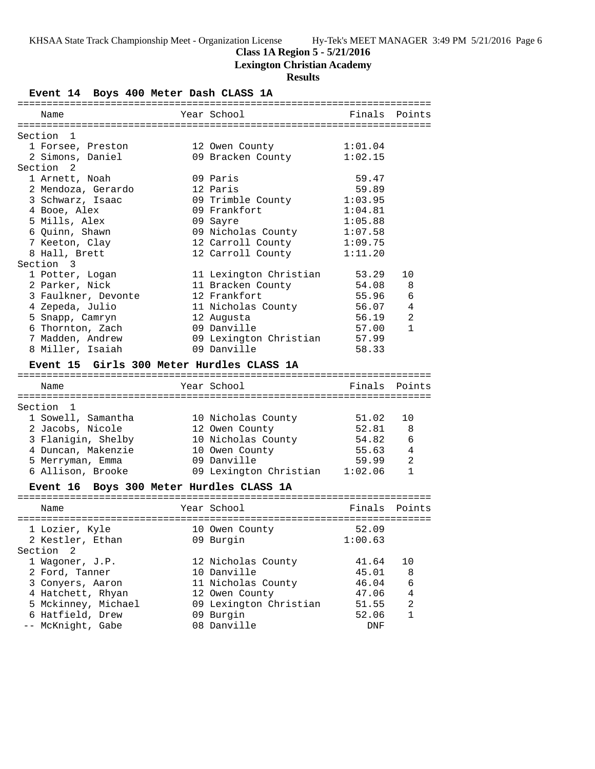#### **Class 1A Region 5 - 5/21/2016**

**Lexington Christian Academy**

### **Results**

**Event 14 Boys 400 Meter Dash CLASS 1A** ======================================================================= Name The Year School The Points Points Points ======================================================================= Section 1 1 Forsee, Preston 12 Owen County 1:01.04<br>2 Simons, Daniel 09 Bracken County 1:02.15 2 Simons, Daniel 09 Bracken County 1:02.15 Section 2 1 Arnett, Noah 09 Paris 59.47 2 Mendoza, Gerardo 12 Paris 59.89 3 Schwarz, Isaac 09 Trimble County 1:03.95 4 Booe, Alex 09 Frankfort 1:04.81 5 Mills, Alex 09 Sayre 1:05.88 6 Quinn, Shawn 09 Nicholas County 1:07.58 7 Keeton, Clay 12 Carroll County 1:09.75 8 Hall, Brett 12 Carroll County 1:11.20 Section 3 1 Potter, Logan 11 Lexington Christian 53.29 10 2 Parker, Nick 11 Bracken County 54.08 8 3 Faulkner, Devonte 12 Frankfort 55.96 6 4 Zepeda, Julio 11 Nicholas County 56.07 4 5 Snapp, Camryn 12 Augusta 56.19 2 6 Thornton, Zach 09 Danville 57.00 1 7 Madden, Andrew 09 Lexington Christian 57.99 8 Miller, Isaiah 09 Danville 58.33 **Event 15 Girls 300 Meter Hurdles CLASS 1A** ======================================================================= Name Year School Finals Points ======================================================================= Section 1 1 Sowell, Samantha 10 Nicholas County 51.02 10 2 Jacobs, Nicole 12 Owen County 52.81 8 3 Flanigin, Shelby 10 Nicholas County 54.82 6 4 Duncan, Makenzie 10 Owen County 55.63 4 5 Merryman, Emma 09 Danville 59.99 2 6 Allison, Brooke 09 Lexington Christian 1:02.06 1 **Event 16 Boys 300 Meter Hurdles CLASS 1A** ======================================================================= Name Year School Finals Points ======================================================================= 1 Lozier, Kyle 10 Owen County 52.09 2 Kestler, Ethan 09 Burgin 1:00.63 Section 2 1 Wagoner, J.P. 12 Nicholas County 41.64 10 2 Ford, Tanner 10 Danville 45.01 8 3 Conyers, Aaron 11 Nicholas County 46.04 6 4 Hatchett, Rhyan 12 Owen County 47.06 4 5 Mckinney, Michael 09 Lexington Christian 51.55 2 6 Hatfield, Drew 09 Burgin 52.06 1 -- McKnight, Gabe 08 Danville DNF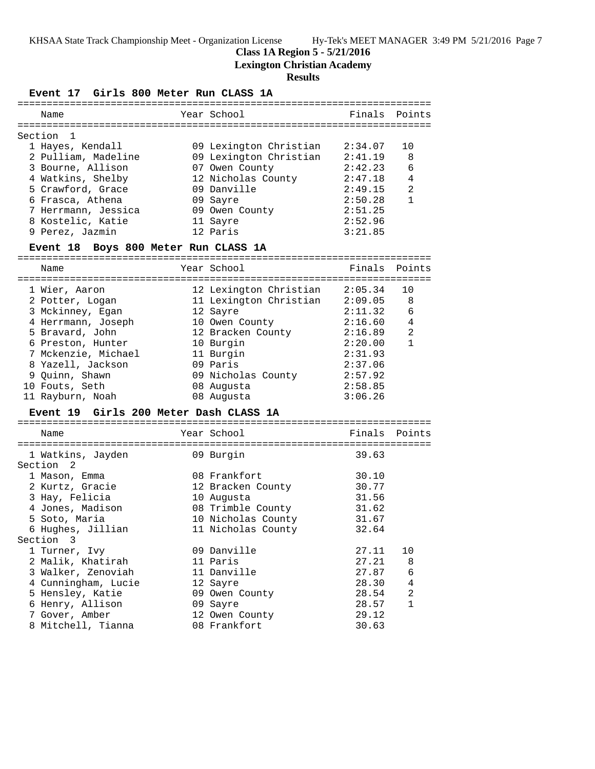## **Class 1A Region 5 - 5/21/2016**

**Lexington Christian Academy**

|           | Event 17 Girls 800 Meter Run CLASS 1A |                               |         |                |
|-----------|---------------------------------------|-------------------------------|---------|----------------|
|           | Name                                  | Year School                   | Finals  | Points         |
|           |                                       |                               |         |                |
| Section 1 |                                       |                               |         |                |
|           | 1 Hayes, Kendall                      | 09 Lexington Christian        | 2:34.07 | 10             |
|           | 2 Pulliam, Madeline                   | 09 Lexington Christian        | 2:41.19 | 8              |
|           | 3 Bourne, Allison                     | 07 Owen County                | 2:42.23 | 6              |
|           | 4 Watkins, Shelby                     | 12 Nicholas County            | 2:47.18 | 4              |
|           | 5 Crawford, Grace                     | 09 Danville                   | 2:49.15 | 2              |
|           | 6 Frasca, Athena                      | 09 Sayre                      | 2:50.28 | $\mathbf{1}$   |
|           | 7 Herrmann, Jessica                   | 09 Owen County                | 2:51.25 |                |
|           | 8 Kostelic, Katie                     | 11 Sayre                      | 2:52.96 |                |
|           | 9 Perez, Jazmin                       | 12 Paris                      | 3:21.85 |                |
|           | Event 18 Boys 800 Meter Run CLASS 1A  |                               |         |                |
|           | Name                                  | Year School                   | Finals  | Points         |
|           | 1 Wier, Aaron                         | 12 Lexington Christian        | 2:05.34 | 10             |
|           | 2 Potter, Logan                       | 11 Lexington Christian        | 2:09.05 | 8              |
|           | 3 Mckinney, Egan                      | 12 Sayre                      | 2:11.32 | 6              |
|           | 4 Herrmann, Joseph                    | 10 Owen County                | 2:16.60 | $\overline{4}$ |
|           | 5 Bravard, John                       | 12 Bracken County             | 2:16.89 | 2              |
|           | 6 Preston, Hunter                     | 10 Burgin                     | 2:20.00 | $\mathbf{1}$   |
|           | 7 Mckenzie, Michael                   | 11 Burgin                     | 2:31.93 |                |
|           | 8 Yazell, Jackson                     | 09 Paris                      | 2:37.06 |                |
|           | 9 Quinn, Shawn                        | 09 Nicholas County            | 2:57.92 |                |
|           | 10 Fouts, Seth                        | 08 Augusta                    | 2:58.85 |                |
|           | 11 Rayburn, Noah                      | 08 Augusta                    | 3:06.26 |                |
|           | <b>Event 19</b>                       | Girls 200 Meter Dash CLASS 1A |         |                |
|           | Name                                  | Year School                   | Finals  | Points         |
|           | 1 Watkins, Jayden                     | 09 Burgin                     | 39.63   |                |
| Section   | $\overline{\phantom{0}}^2$            |                               |         |                |
|           | 1 Mason, Emma                         | 08 Frankfort                  | 30.10   |                |
|           | 2 Kurtz, Gracie                       | 12 Bracken County             | 30.77   |                |
|           | 3 Hay, Felicia                        | 10 Augusta                    | 31.56   |                |
|           | 4 Jones, Madison                      | 08 Trimble County             | 31.62   |                |
|           | 5 Soto, Maria                         | 10 Nicholas County            | 31.67   |                |
|           | 6 Hughes, Jillian                     | 11 Nicholas County            | 32.64   |                |
| Section   | $\overline{\mathbf{3}}$               |                               |         |                |
|           | 1 Turner, Ivy                         | 09 Danville                   | 27.11   | 10             |
|           | 2 Malik, Khatirah                     | 11 Paris                      | 27.21   | 8              |
|           | 3 Walker, Zenoviah                    | 11 Danville                   | 27.87   | 6              |
|           | 4 Cunningham, Lucie                   | 12 Sayre                      | 28.30   | $\overline{4}$ |
|           | 5 Hensley, Katie                      | 09 Owen County                | 28.54   | $\overline{a}$ |
|           | 6 Henry, Allison                      | 09 Sayre                      | 28.57   | 1              |
|           | 7 Gover, Amber                        | 12 Owen County                | 29.12   |                |
|           | 8 Mitchell, Tianna                    | 08 Frankfort                  | 30.63   |                |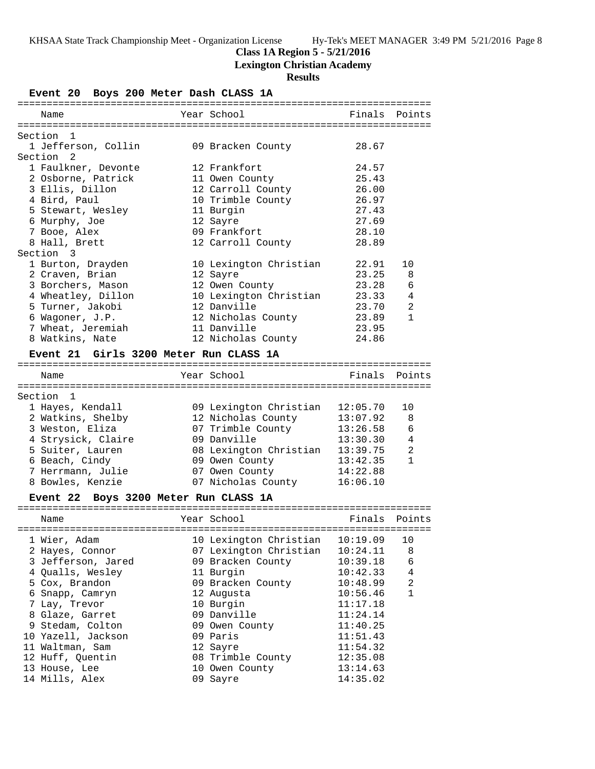## **Class 1A Region 5 - 5/21/2016**

**Lexington Christian Academy**

# **Results**

**Event 20 Boys 200 Meter Dash CLASS 1A**

| Name                 |                                        | Year School            |          | Finals Points |
|----------------------|----------------------------------------|------------------------|----------|---------------|
|                      |                                        |                        |          |               |
| Section 1            |                                        |                        |          |               |
|                      | 1 Jefferson, Collin                    | 09 Bracken County      | 28.67    |               |
| Section 2            |                                        |                        |          |               |
|                      | 1 Faulkner, Devonte                    | 12 Frankfort           | 24.57    |               |
|                      | 2 Osborne, Patrick                     | 11 Owen County         | 25.43    |               |
|                      | 3 Ellis, Dillon                        | 12 Carroll County      | 26.00    |               |
|                      | 4 Bird, Paul                           | 10 Trimble County      | 26.97    |               |
|                      | 5 Stewart, Wesley                      | 11 Burgin              | 27.43    |               |
|                      | 6 Murphy, Joe                          | 12 Sayre               | 27.69    |               |
|                      | 7 Booe, Alex                           | 09 Frankfort           | 28.10    |               |
|                      | 8 Hall, Brett                          | 12 Carroll County      | 28.89    |               |
| Section 3            |                                        |                        |          |               |
|                      | 1 Burton, Drayden                      | 10 Lexington Christian | 22.91    | 10            |
|                      | 2 Craven, Brian                        | 12 Sayre               | 23.25    | 8             |
|                      | 3 Borchers, Mason                      | 12 Owen County         | 23.28    | 6             |
|                      | 4 Wheatley, Dillon                     | 10 Lexington Christian | 23.33    | 4             |
|                      | 5 Turner, Jakobi                       | 12 Danville            | 23.70    | 2             |
|                      | 6 Wagoner, J.P.                        | 12 Nicholas County     | 23.89    | $\mathbf{1}$  |
|                      | 7 Wheat, Jeremiah                      | 11 Danville            | 23.95    |               |
|                      | 8 Watkins, Nate                        | 12 Nicholas County     | 24.86    |               |
|                      |                                        |                        |          |               |
|                      | Event 21 Girls 3200 Meter Run CLASS 1A |                        |          |               |
|                      |                                        | Year School            |          | Finals Points |
| Name                 |                                        |                        |          |               |
| Section <sub>1</sub> |                                        |                        |          |               |
|                      | 1 Hayes, Kendall                       | 09 Lexington Christian | 12:05.70 | 10            |
|                      | 2 Watkins, Shelby                      | 12 Nicholas County     | 13:07.92 | 8             |
|                      | 3 Weston, Eliza                        | 07 Trimble County      | 13:26.58 | 6             |
|                      | 4 Strysick, Claire                     | 09 Danville            | 13:30.30 | 4             |
|                      | 5 Suiter, Lauren                       | 08 Lexington Christian | 13:39.75 | 2             |
|                      | 6 Beach, Cindy                         | 09 Owen County         | 13:42.35 | $\mathbf{1}$  |
|                      | 7 Herrmann, Julie                      | 07 Owen County         | 14:22.88 |               |
|                      |                                        |                        |          |               |
|                      | 8 Bowles, Kenzie                       | 07 Nicholas County     | 16:06.10 |               |
|                      | Event 22 Boys 3200 Meter Run CLASS 1A  |                        |          |               |
|                      |                                        |                        |          |               |

| Name               | Year School            | Finals   | Points |
|--------------------|------------------------|----------|--------|
| 1 Wier, Adam       | 10 Lexington Christian | 10:19.09 | 10     |
| 2 Hayes, Connor    | 07 Lexington Christian | 10:24.11 | 8      |
| 3 Jefferson, Jared | 09 Bracken County      | 10:39.18 | 6      |
| 4 Oualls, Wesley   | 11 Burgin              | 10:42.33 | 4      |
| 5 Cox, Brandon     | 09 Bracken County      | 10:48.99 | 2      |
| 6 Snapp, Camryn    | 12 Augusta             | 10:56.46 | 1      |
| 7 Lay, Trevor      | 10 Burgin              | 11:17.18 |        |
| 8 Glaze, Garret    | 09 Danville            | 11:24.14 |        |
| 9 Stedam, Colton   | 09 Owen County         | 11:40.25 |        |
| 10 Yazell, Jackson | 09 Paris               | 11:51.43 |        |
| 11 Waltman, Sam    | 12 Sayre               | 11:54.32 |        |
| 12 Huff, Quentin   | 08 Trimble County      | 12:35.08 |        |
| 13 House, Lee      | 10 Owen County         | 13:14.63 |        |
| 14 Mills, Alex     | 09 Sayre               | 14:35.02 |        |
|                    |                        |          |        |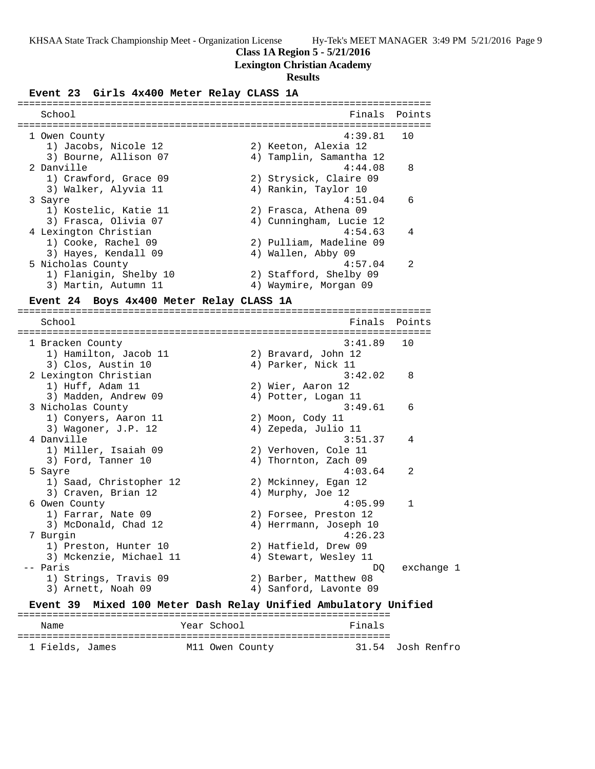**Class 1A Region 5 - 5/21/2016**

## **Lexington Christian Academy**

### **Results**

**Event 23 Girls 4x400 Meter Relay CLASS 1A**

| 4:39.81<br>1 Owen County<br>1) Jacobs, Nicole 12<br>2) Keeton, Alexia 12<br>3) Bourne, Allison 07<br>4) Tamplin, Samantha 12<br>2 Danville<br>4:44.08<br>1) Crawford, Grace 09<br>2) Strysick, Claire 09<br>4) Rankin, Taylor 10<br>3) Walker, Alyvia 11<br>4:51.04<br>3 Sayre<br>1) Kostelic, Katie 11<br>2) Frasca, Athena 09 | 10<br>8<br>6 |
|---------------------------------------------------------------------------------------------------------------------------------------------------------------------------------------------------------------------------------------------------------------------------------------------------------------------------------|--------------|
|                                                                                                                                                                                                                                                                                                                                 |              |
|                                                                                                                                                                                                                                                                                                                                 |              |
|                                                                                                                                                                                                                                                                                                                                 |              |
|                                                                                                                                                                                                                                                                                                                                 |              |
|                                                                                                                                                                                                                                                                                                                                 |              |
|                                                                                                                                                                                                                                                                                                                                 |              |
|                                                                                                                                                                                                                                                                                                                                 |              |
| 3) Frasca, Olivia 07<br>4) Cunningham, Lucie 12                                                                                                                                                                                                                                                                                 |              |
| 4 Lexington Christian<br>4:54.63                                                                                                                                                                                                                                                                                                | 4            |
| 1) Cooke, Rachel 09<br>2) Pulliam, Madeline 09                                                                                                                                                                                                                                                                                  |              |
| 3) Hayes, Kendall 09<br>4) Wallen, Abby 09                                                                                                                                                                                                                                                                                      |              |
| 5 Nicholas County<br>4:57.04                                                                                                                                                                                                                                                                                                    | 2            |
| 1) Flanigin, Shelby 10<br>2) Stafford, Shelby 09                                                                                                                                                                                                                                                                                |              |
| 3) Martin, Autumn 11<br>4) Waymire, Morgan 09                                                                                                                                                                                                                                                                                   |              |
| Boys 4x400 Meter Relay CLASS 1A<br>Event 24                                                                                                                                                                                                                                                                                     |              |
| School<br>Finals                                                                                                                                                                                                                                                                                                                | Points       |
|                                                                                                                                                                                                                                                                                                                                 |              |
| 3:41.89<br>1 Bracken County                                                                                                                                                                                                                                                                                                     | 10           |
| 1) Hamilton, Jacob 11<br>2) Bravard, John 12                                                                                                                                                                                                                                                                                    |              |
| 3) Clos, Austin 10<br>4) Parker, Nick 11                                                                                                                                                                                                                                                                                        |              |
| 3:42.02<br>2 Lexington Christian                                                                                                                                                                                                                                                                                                | 8            |
| 1) Huff, Adam 11<br>2) Wier, Aaron 12                                                                                                                                                                                                                                                                                           |              |
| 3) Madden, Andrew 09<br>4) Potter, Logan 11                                                                                                                                                                                                                                                                                     |              |
| 3:49.61<br>3 Nicholas County                                                                                                                                                                                                                                                                                                    | 6            |
| 1) Conyers, Aaron 11<br>2) Moon, Cody 11<br>4) Zepeda, Julio 11                                                                                                                                                                                                                                                                 |              |
| 3) Wagoner, J.P. 12<br>4 Danville<br>3:51.37                                                                                                                                                                                                                                                                                    | 4            |
| 1) Miller, Isaiah 09<br>2) Verhoven, Cole 11                                                                                                                                                                                                                                                                                    |              |
| 3) Ford, Tanner 10<br>4) Thornton, Zach 09                                                                                                                                                                                                                                                                                      |              |
| 4:03.64<br>5 Sayre                                                                                                                                                                                                                                                                                                              | 2            |
| 1) Saad, Christopher 12<br>2) Mckinney, Egan 12                                                                                                                                                                                                                                                                                 |              |
| 3) Craven, Brian 12<br>4) Murphy, Joe 12                                                                                                                                                                                                                                                                                        |              |
| 6 Owen County<br>4:05.99                                                                                                                                                                                                                                                                                                        | 1            |
| 1) Farrar, Nate 09<br>2) Forsee, Preston 12                                                                                                                                                                                                                                                                                     |              |
| 3) McDonald, Chad 12<br>4) Herrmann, Joseph 10                                                                                                                                                                                                                                                                                  |              |
| 4:26.23<br>7 Burgin                                                                                                                                                                                                                                                                                                             |              |
| 2) Hatfield, Drew 09<br>1) Preston, Hunter 10                                                                                                                                                                                                                                                                                   |              |
| 3) Mckenzie, Michael 11<br>4) Stewart, Wesley 11                                                                                                                                                                                                                                                                                |              |
| -- Paris<br>DO                                                                                                                                                                                                                                                                                                                  | exchange 1   |
| 2) Barber, Matthew 08<br>1) Strings, Travis 09                                                                                                                                                                                                                                                                                  |              |
| 3) Arnett, Noah 09<br>4) Sanford, Lavonte 09                                                                                                                                                                                                                                                                                    |              |
| <b>Event 39</b><br>Mixed 100 Meter Dash Relay Unified Ambulatory Unified                                                                                                                                                                                                                                                        |              |

Name **Name** Year School **Finals** ================================================================ 1 Fields, James